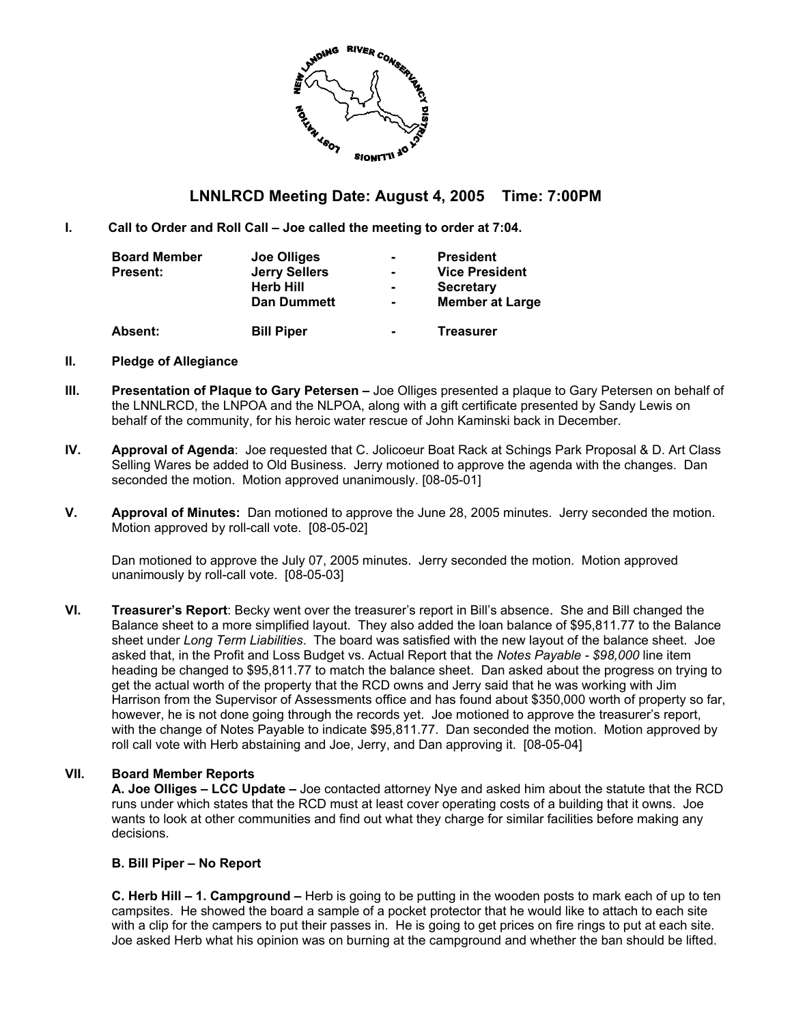

## **LNNLRCD Meeting Date: August 4, 2005 Time: 7:00PM**

**I. Call to Order and Roll Call – Joe called the meeting to order at 7:04.** 

| <b>Board Member</b><br><b>Present:</b> | Joe Olliges<br><b>Jerry Sellers</b><br><b>Herb Hill</b><br><b>Dan Dummett</b> | ۰.<br>۰<br>$\blacksquare$ | <b>President</b><br><b>Vice President</b><br><b>Secretary</b><br><b>Member at Large</b> |
|----------------------------------------|-------------------------------------------------------------------------------|---------------------------|-----------------------------------------------------------------------------------------|
| <b>Absent:</b>                         | <b>Bill Piper</b>                                                             | $\blacksquare$            | <b>Treasurer</b>                                                                        |

#### **II. Pledge of Allegiance**

- **III. Presentation of Plaque to Gary Petersen** Joe Olliges presented a plaque to Gary Petersen on behalf of the LNNLRCD, the LNPOA and the NLPOA, along with a gift certificate presented by Sandy Lewis on behalf of the community, for his heroic water rescue of John Kaminski back in December.
- **IV. Approval of Agenda**: Joe requested that C. Jolicoeur Boat Rack at Schings Park Proposal & D. Art Class Selling Wares be added to Old Business. Jerry motioned to approve the agenda with the changes. Dan seconded the motion. Motion approved unanimously. [08-05-01]
- **V. Approval of Minutes:** Dan motioned to approve the June 28, 2005 minutes. Jerry seconded the motion. Motion approved by roll-call vote. [08-05-02]

Dan motioned to approve the July 07, 2005 minutes. Jerry seconded the motion. Motion approved unanimously by roll-call vote. [08-05-03]

**VI. Treasurer's Report**: Becky went over the treasurer's report in Bill's absence. She and Bill changed the Balance sheet to a more simplified layout. They also added the loan balance of \$95,811.77 to the Balance sheet under *Long Term Liabilities*. The board was satisfied with the new layout of the balance sheet. Joe asked that, in the Profit and Loss Budget vs. Actual Report that the *Notes Payable - \$98,000* line item heading be changed to \$95,811.77 to match the balance sheet. Dan asked about the progress on trying to get the actual worth of the property that the RCD owns and Jerry said that he was working with Jim Harrison from the Supervisor of Assessments office and has found about \$350,000 worth of property so far, however, he is not done going through the records yet. Joe motioned to approve the treasurer's report, with the change of Notes Payable to indicate \$95,811.77. Dan seconded the motion. Motion approved by roll call vote with Herb abstaining and Joe, Jerry, and Dan approving it. [08-05-04]

#### **VII. Board Member Reports**

**A. Joe Olliges – LCC Update –** Joe contacted attorney Nye and asked him about the statute that the RCD runs under which states that the RCD must at least cover operating costs of a building that it owns. Joe wants to look at other communities and find out what they charge for similar facilities before making any decisions.

#### **B. Bill Piper – No Report**

**C. Herb Hill – 1. Campground –** Herb is going to be putting in the wooden posts to mark each of up to ten campsites. He showed the board a sample of a pocket protector that he would like to attach to each site with a clip for the campers to put their passes in. He is going to get prices on fire rings to put at each site. Joe asked Herb what his opinion was on burning at the campground and whether the ban should be lifted.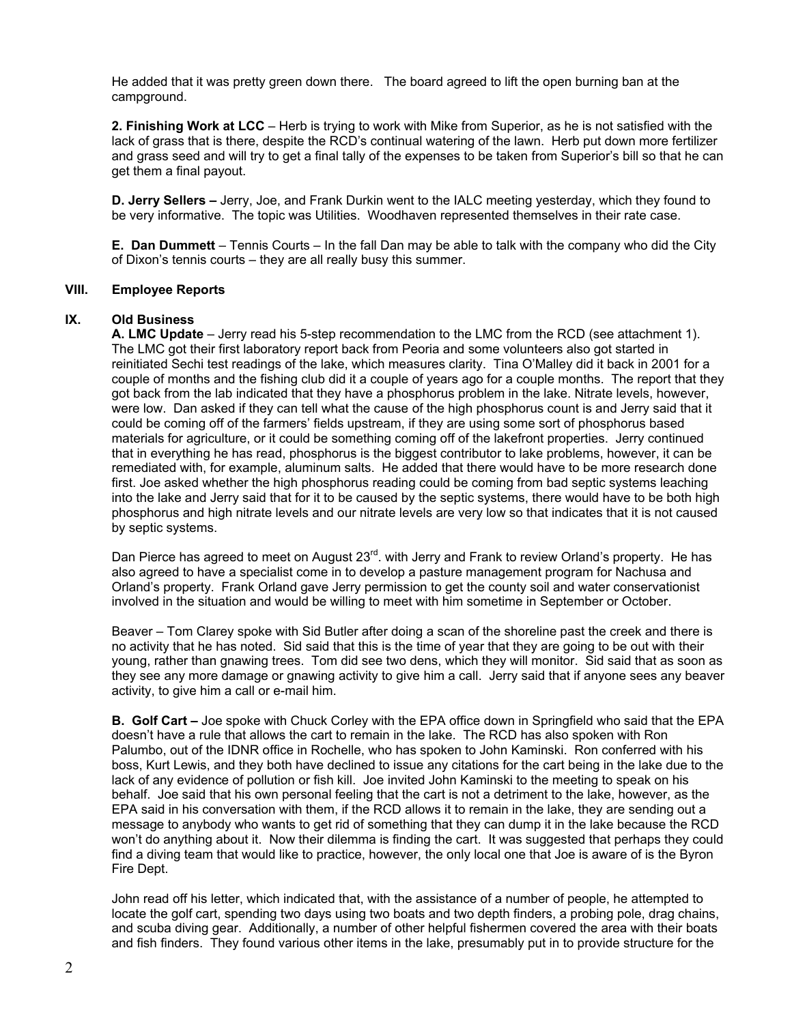He added that it was pretty green down there. The board agreed to lift the open burning ban at the campground.

**2. Finishing Work at LCC** – Herb is trying to work with Mike from Superior, as he is not satisfied with the lack of grass that is there, despite the RCD's continual watering of the lawn. Herb put down more fertilizer and grass seed and will try to get a final tally of the expenses to be taken from Superior's bill so that he can get them a final payout.

**D. Jerry Sellers –** Jerry, Joe, and Frank Durkin went to the IALC meeting yesterday, which they found to be very informative. The topic was Utilities. Woodhaven represented themselves in their rate case.

**E. Dan Dummett** – Tennis Courts – In the fall Dan may be able to talk with the company who did the City of Dixon's tennis courts – they are all really busy this summer.

#### **VIII. Employee Reports**

#### **IX. Old Business**

**A. LMC Update** – Jerry read his 5-step recommendation to the LMC from the RCD (see attachment 1). The LMC got their first laboratory report back from Peoria and some volunteers also got started in reinitiated Sechi test readings of the lake, which measures clarity. Tina O'Malley did it back in 2001 for a couple of months and the fishing club did it a couple of years ago for a couple months. The report that they got back from the lab indicated that they have a phosphorus problem in the lake. Nitrate levels, however, were low. Dan asked if they can tell what the cause of the high phosphorus count is and Jerry said that it could be coming off of the farmers' fields upstream, if they are using some sort of phosphorus based materials for agriculture, or it could be something coming off of the lakefront properties. Jerry continued that in everything he has read, phosphorus is the biggest contributor to lake problems, however, it can be remediated with, for example, aluminum salts. He added that there would have to be more research done first. Joe asked whether the high phosphorus reading could be coming from bad septic systems leaching into the lake and Jerry said that for it to be caused by the septic systems, there would have to be both high phosphorus and high nitrate levels and our nitrate levels are very low so that indicates that it is not caused by septic systems.

Dan Pierce has agreed to meet on August 23<sup>rd</sup>. with Jerry and Frank to review Orland's property. He has also agreed to have a specialist come in to develop a pasture management program for Nachusa and Orland's property. Frank Orland gave Jerry permission to get the county soil and water conservationist involved in the situation and would be willing to meet with him sometime in September or October.

Beaver – Tom Clarey spoke with Sid Butler after doing a scan of the shoreline past the creek and there is no activity that he has noted. Sid said that this is the time of year that they are going to be out with their young, rather than gnawing trees. Tom did see two dens, which they will monitor. Sid said that as soon as they see any more damage or gnawing activity to give him a call. Jerry said that if anyone sees any beaver activity, to give him a call or e-mail him.

**B. Golf Cart –** Joe spoke with Chuck Corley with the EPA office down in Springfield who said that the EPA doesn't have a rule that allows the cart to remain in the lake. The RCD has also spoken with Ron Palumbo, out of the IDNR office in Rochelle, who has spoken to John Kaminski. Ron conferred with his boss, Kurt Lewis, and they both have declined to issue any citations for the cart being in the lake due to the lack of any evidence of pollution or fish kill. Joe invited John Kaminski to the meeting to speak on his behalf. Joe said that his own personal feeling that the cart is not a detriment to the lake, however, as the EPA said in his conversation with them, if the RCD allows it to remain in the lake, they are sending out a message to anybody who wants to get rid of something that they can dump it in the lake because the RCD won't do anything about it. Now their dilemma is finding the cart. It was suggested that perhaps they could find a diving team that would like to practice, however, the only local one that Joe is aware of is the Byron Fire Dept.

John read off his letter, which indicated that, with the assistance of a number of people, he attempted to locate the golf cart, spending two days using two boats and two depth finders, a probing pole, drag chains, and scuba diving gear. Additionally, a number of other helpful fishermen covered the area with their boats and fish finders. They found various other items in the lake, presumably put in to provide structure for the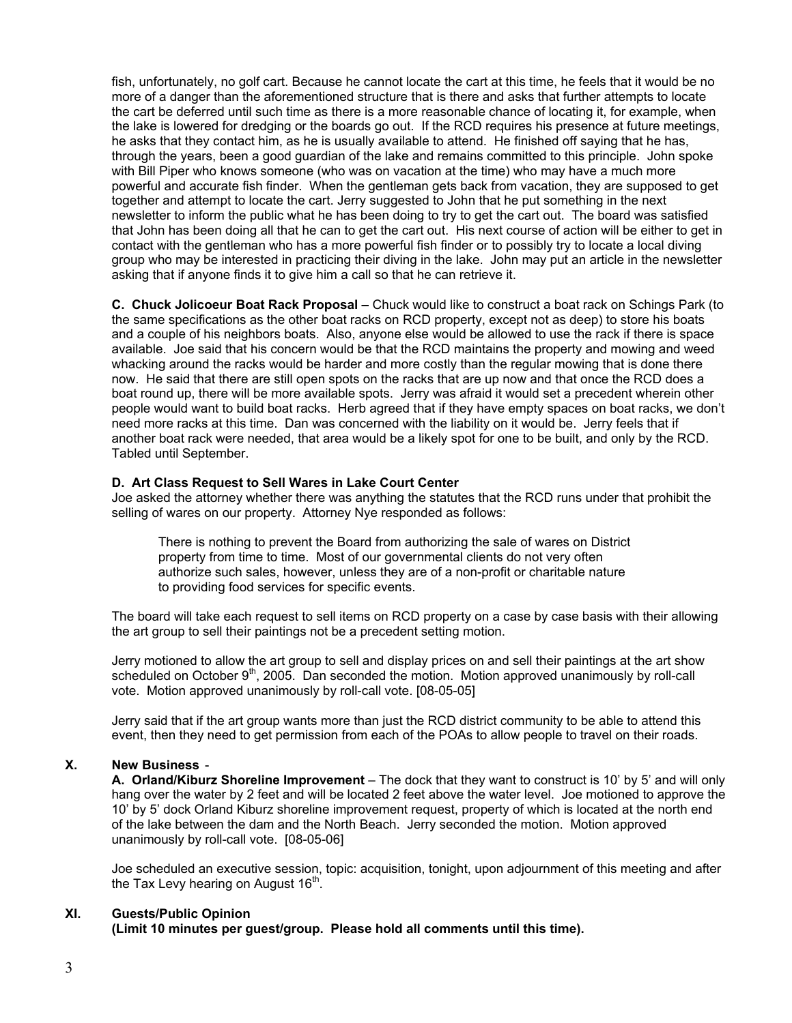fish, unfortunately, no golf cart. Because he cannot locate the cart at this time, he feels that it would be no more of a danger than the aforementioned structure that is there and asks that further attempts to locate the cart be deferred until such time as there is a more reasonable chance of locating it, for example, when the lake is lowered for dredging or the boards go out. If the RCD requires his presence at future meetings, he asks that they contact him, as he is usually available to attend. He finished off saying that he has, through the years, been a good guardian of the lake and remains committed to this principle. John spoke with Bill Piper who knows someone (who was on vacation at the time) who may have a much more powerful and accurate fish finder. When the gentleman gets back from vacation, they are supposed to get together and attempt to locate the cart. Jerry suggested to John that he put something in the next newsletter to inform the public what he has been doing to try to get the cart out. The board was satisfied that John has been doing all that he can to get the cart out. His next course of action will be either to get in contact with the gentleman who has a more powerful fish finder or to possibly try to locate a local diving group who may be interested in practicing their diving in the lake. John may put an article in the newsletter asking that if anyone finds it to give him a call so that he can retrieve it.

**C. Chuck Jolicoeur Boat Rack Proposal –** Chuck would like to construct a boat rack on Schings Park (to the same specifications as the other boat racks on RCD property, except not as deep) to store his boats and a couple of his neighbors boats. Also, anyone else would be allowed to use the rack if there is space available. Joe said that his concern would be that the RCD maintains the property and mowing and weed whacking around the racks would be harder and more costly than the regular mowing that is done there now. He said that there are still open spots on the racks that are up now and that once the RCD does a boat round up, there will be more available spots. Jerry was afraid it would set a precedent wherein other people would want to build boat racks. Herb agreed that if they have empty spaces on boat racks, we don't need more racks at this time. Dan was concerned with the liability on it would be. Jerry feels that if another boat rack were needed, that area would be a likely spot for one to be built, and only by the RCD. Tabled until September.

#### **D. Art Class Request to Sell Wares in Lake Court Center**

Joe asked the attorney whether there was anything the statutes that the RCD runs under that prohibit the selling of wares on our property. Attorney Nye responded as follows:

There is nothing to prevent the Board from authorizing the sale of wares on District property from time to time. Most of our governmental clients do not very often authorize such sales, however, unless they are of a non-profit or charitable nature to providing food services for specific events.

The board will take each request to sell items on RCD property on a case by case basis with their allowing the art group to sell their paintings not be a precedent setting motion.

Jerry motioned to allow the art group to sell and display prices on and sell their paintings at the art show scheduled on October 9<sup>th</sup>, 2005. Dan seconded the motion. Motion approved unanimously by roll-call vote. Motion approved unanimously by roll-call vote. [08-05-05]

Jerry said that if the art group wants more than just the RCD district community to be able to attend this event, then they need to get permission from each of the POAs to allow people to travel on their roads.

#### **X. New Business** -

**A. Orland/Kiburz Shoreline Improvement** – The dock that they want to construct is 10' by 5' and will only hang over the water by 2 feet and will be located 2 feet above the water level. Joe motioned to approve the 10' by 5' dock Orland Kiburz shoreline improvement request, property of which is located at the north end of the lake between the dam and the North Beach. Jerry seconded the motion. Motion approved unanimously by roll-call vote. [08-05-06]

Joe scheduled an executive session, topic: acquisition, tonight, upon adjournment of this meeting and after the Tax Levy hearing on August  $16<sup>th</sup>$ .

#### **XI. Guests/Public Opinion**

**(Limit 10 minutes per guest/group. Please hold all comments until this time).**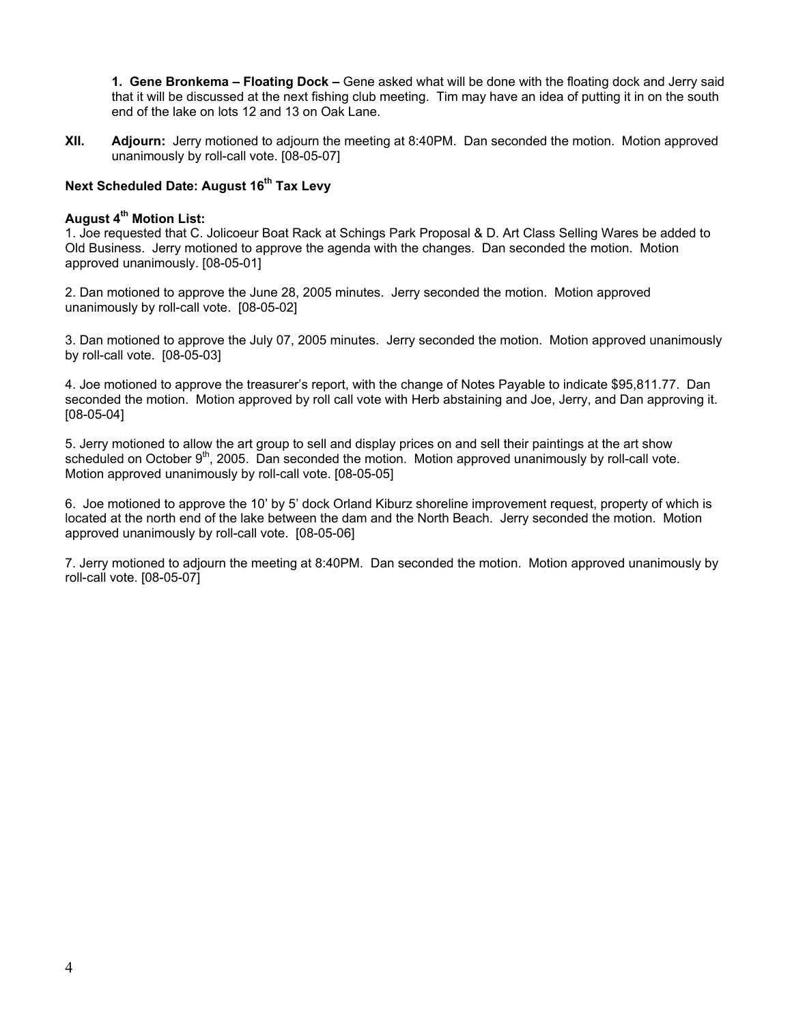**1. Gene Bronkema – Floating Dock –** Gene asked what will be done with the floating dock and Jerry said that it will be discussed at the next fishing club meeting. Tim may have an idea of putting it in on the south end of the lake on lots 12 and 13 on Oak Lane.

**XII. Adjourn:** Jerry motioned to adjourn the meeting at 8:40PM. Dan seconded the motion. Motion approved unanimously by roll-call vote. [08-05-07]

### **Next Scheduled Date: August 16<sup>th</sup> Tax Levy**

#### **August 4th Motion List:**

1. Joe requested that C. Jolicoeur Boat Rack at Schings Park Proposal & D. Art Class Selling Wares be added to Old Business. Jerry motioned to approve the agenda with the changes. Dan seconded the motion. Motion approved unanimously. [08-05-01]

2. Dan motioned to approve the June 28, 2005 minutes. Jerry seconded the motion. Motion approved unanimously by roll-call vote. [08-05-02]

3. Dan motioned to approve the July 07, 2005 minutes. Jerry seconded the motion. Motion approved unanimously by roll-call vote. [08-05-03]

4. Joe motioned to approve the treasurer's report, with the change of Notes Payable to indicate \$95,811.77. Dan seconded the motion. Motion approved by roll call vote with Herb abstaining and Joe, Jerry, and Dan approving it. [08-05-04]

5. Jerry motioned to allow the art group to sell and display prices on and sell their paintings at the art show scheduled on October 9<sup>th</sup>, 2005. Dan seconded the motion. Motion approved unanimously by roll-call vote. Motion approved unanimously by roll-call vote. [08-05-05]

6. Joe motioned to approve the 10' by 5' dock Orland Kiburz shoreline improvement request, property of which is located at the north end of the lake between the dam and the North Beach. Jerry seconded the motion. Motion approved unanimously by roll-call vote. [08-05-06]

7. Jerry motioned to adjourn the meeting at 8:40PM. Dan seconded the motion. Motion approved unanimously by roll-call vote. [08-05-07]